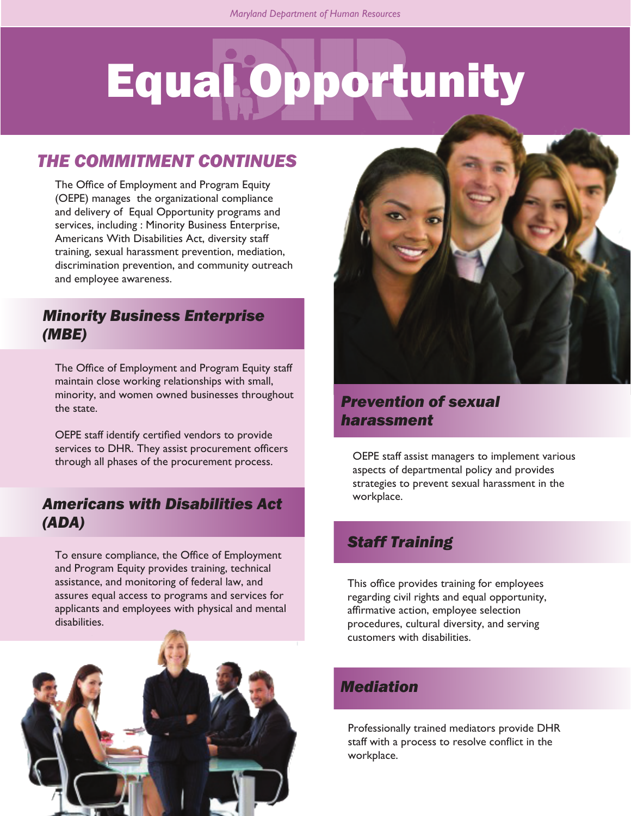# Equal Opportunity

# *THE COMMITMENT CONTINUES*

The Office of Employment and Program Equity (OEPE) manages the organizational compliance and delivery of Equal Opportunity programs and services, including : Minority Business Enterprise, Americans With Disabilities Act, diversity staff training, sexual harassment prevention, mediation, discrimination prevention, and community outreach and employee awareness.

#### *Minority Business Enterprise (MBE)*

The Office of Employment and Program Equity staff maintain close working relationships with small, minority, and women owned businesses throughout the state.

OEPE staff identify certified vendors to provide services to DHR. They assist procurement officers through all phases of the procurement process.

#### *Americans with Disabilities Act (ADA)*

To ensure compliance, the Office of Employment and Program Equity provides training, technical assistance, and monitoring of federal law, and assures equal access to programs and services for applicants and employees with physical and mental disabilities.





# *Prevention of sexual harassment*

OEPE staff assist managers to implement various aspects of departmental policy and provides strategies to prevent sexual harassment in the workplace.

#### *Staff Training*

This office provides training for employees regarding civil rights and equal opportunity, affirmative action, employee selection procedures, cultural diversity, and serving customers with disabilities.

## *Mediation*

Professionally trained mediators provide DHR staff with a process to resolve conflict in the workplace.